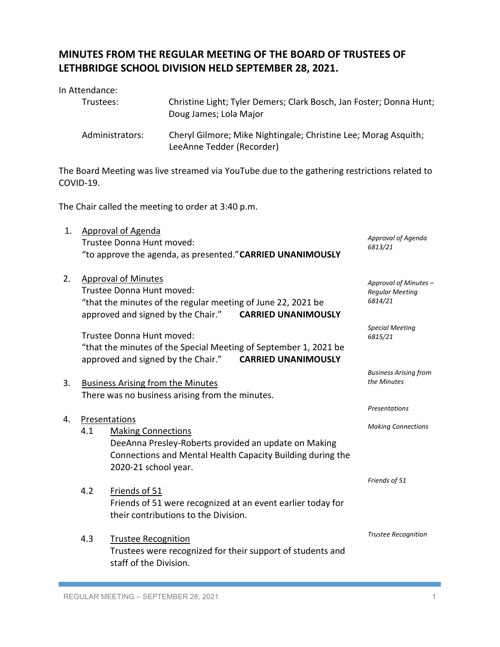## **MINUTES FROM THE REGULAR MEETING OF THE BOARD OF TRUSTEES OF LETHBRIDGE SCHOOL DIVISION HELD SEPTEMBER 28, 2021.**

In Attendance:

| Trustees:       | Christine Light; Tyler Demers; Clark Bosch, Jan Foster; Donna Hunt;<br>Doug James; Lola Major |
|-----------------|-----------------------------------------------------------------------------------------------|
| Administrators: | Cheryl Gilmore; Mike Nightingale; Christine Lee; Morag Asquith;<br>LeeAnne Tedder (Recorder)  |

The Board Meeting was live streamed via YouTube due to the gathering restrictions related to COVID-19.

The Chair called the meeting to order at 3:40 p.m.

| 1. |     | <b>Approval of Agenda</b><br>Trustee Donna Hunt moved:<br>"to approve the agenda, as presented." CARRIED UNANIMOUSLY                                                                        | Approval of Agenda<br>6813/21                              |
|----|-----|---------------------------------------------------------------------------------------------------------------------------------------------------------------------------------------------|------------------------------------------------------------|
| 2. |     | <b>Approval of Minutes</b><br>Trustee Donna Hunt moved:<br>"that the minutes of the regular meeting of June 22, 2021 be<br><b>CARRIED UNANIMOUSLY</b><br>approved and signed by the Chair." | Approval of Minutes -<br><b>Regular Meeting</b><br>6814/21 |
|    |     | Trustee Donna Hunt moved:<br>"that the minutes of the Special Meeting of September 1, 2021 be<br>approved and signed by the Chair." CARRIED UNANIMOUSLY                                     | <b>Special Meeting</b><br>6815/21                          |
| 3. |     | <b>Business Arising from the Minutes</b><br>There was no business arising from the minutes.                                                                                                 | <b>Business Arising from</b><br>the Minutes                |
|    |     |                                                                                                                                                                                             | <b>Presentations</b>                                       |
| 4. | 4.1 | Presentations<br><b>Making Connections</b><br>DeeAnna Presley-Roberts provided an update on Making<br>Connections and Mental Health Capacity Building during the<br>2020-21 school year.    | <b>Making Connections</b>                                  |
|    | 4.2 | Friends of 51<br>Friends of 51 were recognized at an event earlier today for<br>their contributions to the Division.                                                                        | Friends of 51                                              |
|    | 4.3 | <b>Trustee Recognition</b><br>Trustees were recognized for their support of students and<br>staff of the Division.                                                                          | <b>Trustee Recognition</b>                                 |
|    |     |                                                                                                                                                                                             |                                                            |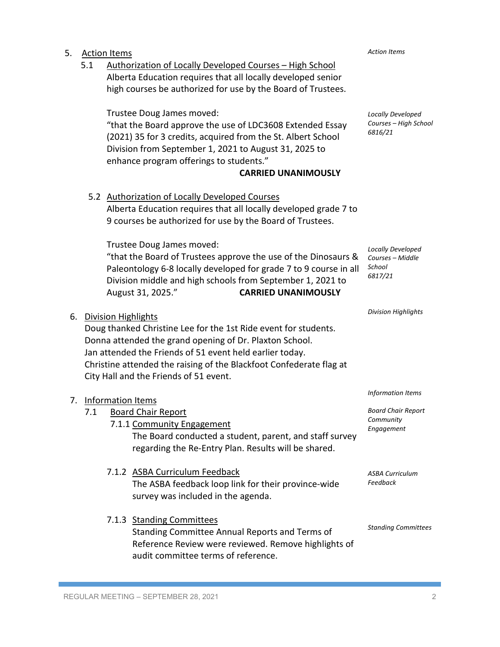| 5. | 5.1 | <b>Action Items</b><br>Authorization of Locally Developed Courses - High School<br>Alberta Education requires that all locally developed senior                                                                                                                                                                                                          | <b>Action Items</b>                                                              |
|----|-----|----------------------------------------------------------------------------------------------------------------------------------------------------------------------------------------------------------------------------------------------------------------------------------------------------------------------------------------------------------|----------------------------------------------------------------------------------|
|    |     | high courses be authorized for use by the Board of Trustees.<br>Trustee Doug James moved:<br>"that the Board approve the use of LDC3608 Extended Essay<br>(2021) 35 for 3 credits, acquired from the St. Albert School<br>Division from September 1, 2021 to August 31, 2025 to<br>enhance program offerings to students."<br><b>CARRIED UNANIMOUSLY</b> | Locally Developed<br>Courses - High School<br>6816/21                            |
|    |     | 5.2 Authorization of Locally Developed Courses<br>Alberta Education requires that all locally developed grade 7 to<br>9 courses be authorized for use by the Board of Trustees.                                                                                                                                                                          |                                                                                  |
|    |     | Trustee Doug James moved:<br>"that the Board of Trustees approve the use of the Dinosaurs &<br>Paleontology 6-8 locally developed for grade 7 to 9 course in all<br>Division middle and high schools from September 1, 2021 to<br>August 31, 2025."<br><b>CARRIED UNANIMOUSLY</b>                                                                        | Locally Developed<br>Courses - Middle<br>School<br>6817/21                       |
| 6. |     | <b>Division Highlights</b><br>Doug thanked Christine Lee for the 1st Ride event for students.<br>Donna attended the grand opening of Dr. Plaxton School.<br>Jan attended the Friends of 51 event held earlier today.<br>Christine attended the raising of the Blackfoot Confederate flag at<br>City Hall and the Friends of 51 event.                    | <b>Division Highlights</b>                                                       |
| 7. | 7.1 | Information Items<br><b>Board Chair Report</b><br>7.1.1 Community Engagement<br>The Board conducted a student, parent, and staff survey<br>regarding the Re-Entry Plan. Results will be shared.                                                                                                                                                          | <b>Information Items</b><br><b>Board Chair Report</b><br>Community<br>Engagement |
|    |     | 7.1.2 ASBA Curriculum Feedback<br>The ASBA feedback loop link for their province-wide<br>survey was included in the agenda.                                                                                                                                                                                                                              | <b>ASBA Curriculum</b><br>Feedback                                               |
|    |     | 7.1.3 Standing Committees<br>Standing Committee Annual Reports and Terms of<br>Reference Review were reviewed. Remove highlights of<br>audit committee terms of reference.                                                                                                                                                                               | <b>Standing Committees</b>                                                       |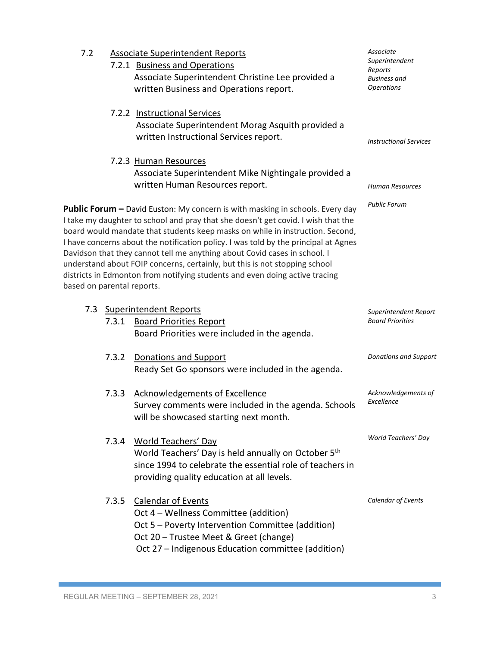| 7.2                        |       | <b>Associate Superintendent Reports</b><br>7.2.1 Business and Operations<br>Associate Superintendent Christine Lee provided a<br>written Business and Operations report.                                                                                                                                                                                                                                                                                                                                                                                                                    | Associate<br>Superintendent<br>Reports<br><b>Business</b> and<br><b>Operations</b> |
|----------------------------|-------|---------------------------------------------------------------------------------------------------------------------------------------------------------------------------------------------------------------------------------------------------------------------------------------------------------------------------------------------------------------------------------------------------------------------------------------------------------------------------------------------------------------------------------------------------------------------------------------------|------------------------------------------------------------------------------------|
|                            |       | 7.2.2 Instructional Services<br>Associate Superintendent Morag Asquith provided a<br>written Instructional Services report.                                                                                                                                                                                                                                                                                                                                                                                                                                                                 | <b>Instructional Services</b>                                                      |
|                            |       | 7.2.3 Human Resources<br>Associate Superintendent Mike Nightingale provided a<br>written Human Resources report.                                                                                                                                                                                                                                                                                                                                                                                                                                                                            | Human Resources                                                                    |
| based on parental reports. |       | <b>Public Forum -</b> David Euston: My concern is with masking in schools. Every day<br>I take my daughter to school and pray that she doesn't get covid. I wish that the<br>board would mandate that students keep masks on while in instruction. Second,<br>I have concerns about the notification policy. I was told by the principal at Agnes<br>Davidson that they cannot tell me anything about Covid cases in school. I<br>understand about FOIP concerns, certainly, but this is not stopping school<br>districts in Edmonton from notifying students and even doing active tracing | <b>Public Forum</b>                                                                |
|                            |       | 7.3 Superintendent Reports                                                                                                                                                                                                                                                                                                                                                                                                                                                                                                                                                                  | Superintendent Report                                                              |
|                            |       |                                                                                                                                                                                                                                                                                                                                                                                                                                                                                                                                                                                             |                                                                                    |
|                            |       | 7.3.1 Board Priorities Report<br>Board Priorities were included in the agenda.                                                                                                                                                                                                                                                                                                                                                                                                                                                                                                              | <b>Board Priorities</b>                                                            |
|                            | 7.3.2 | <b>Donations and Support</b><br>Ready Set Go sponsors were included in the agenda.                                                                                                                                                                                                                                                                                                                                                                                                                                                                                                          | <b>Donations and Support</b>                                                       |
|                            | 7.3.3 | <b>Acknowledgements of Excellence</b><br>Survey comments were included in the agenda. Schools<br>will be showcased starting next month.                                                                                                                                                                                                                                                                                                                                                                                                                                                     | Acknowledgements of<br>Excellence                                                  |
|                            | 7.3.4 | <b>World Teachers' Day</b><br>World Teachers' Day is held annually on October 5th<br>since 1994 to celebrate the essential role of teachers in<br>providing quality education at all levels.                                                                                                                                                                                                                                                                                                                                                                                                | World Teachers' Day                                                                |